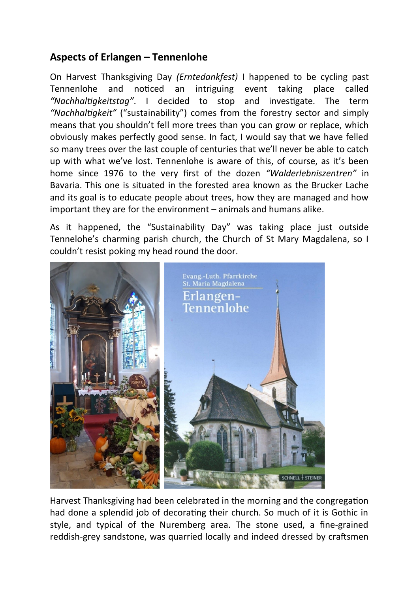## **Aspects of Erlangen – Tennenlohe**

On Harvest Thanksgiving Day *(Erntedankfest)* I happened to be cycling past Tennenlohe and noticed an intriguing event taking place called *"Nachhaltigkeitstag"*. I decided to stop and investigate. The term *"Nachhaltigkeit"* ("sustainability") comes from the forestry sector and simply means that you shouldn't fell more trees than you can grow or replace, which obviously makes perfectly good sense. In fact, I would say that we have felled so many trees over the last couple of centuries that we'll never be able to catch up with what we've lost. Tennenlohe is aware of this, of course, as it's been home since 1976 to the very first of the dozen *"Walderlebniszentren"* in Bavaria. This one is situated in the forested area known as the Brucker Lache and its goal is to educate people about trees, how they are managed and how important they are for the environment – animals and humans alike.

As it happened, the "Sustainability Day" was taking place just outside Tennelohe's charming parish church, the Church of St Mary Magdalena, so I couldn't resist poking my head round the door.



Harvest Thanksgiving had been celebrated in the morning and the congregation had done a splendid job of decorating their church. So much of it is Gothic in style, and typical of the Nuremberg area. The stone used, a fine-grained reddish-grey sandstone, was quarried locally and indeed dressed by craftsmen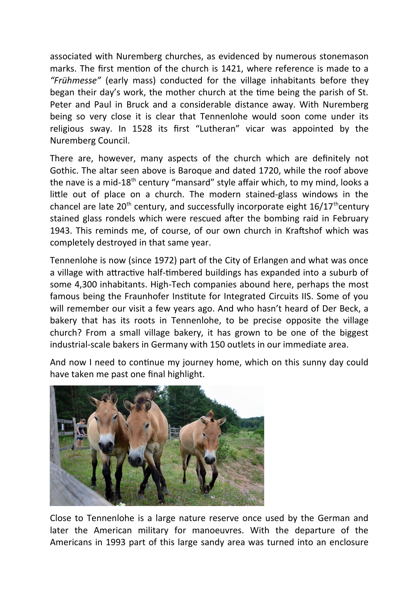associated with Nuremberg churches, as evidenced by numerous stonemason marks. The first mention of the church is 1421, where reference is made to a *"Frühmesse"* (early mass) conducted for the village inhabitants before they began their day's work, the mother church at the time being the parish of St. Peter and Paul in Bruck and a considerable distance away. With Nuremberg being so very close it is clear that Tennenlohe would soon come under its religious sway. In 1528 its first "Lutheran" vicar was appointed by the Nuremberg Council.

There are, however, many aspects of the church which are definitely not Gothic. The altar seen above is Baroque and dated 1720, while the roof above the nave is a mid-18<sup>th</sup> century "mansard" style affair which, to my mind, looks a little out of place on a church. The modern stained-glass windows in the chancel are late  $20<sup>th</sup>$  century, and successfully incorporate eight  $16/17<sup>th</sup>$ century stained glass rondels which were rescued after the bombing raid in February 1943. This reminds me, of course, of our own church in Kraftshof which was completely destroyed in that same year.

Tennenlohe is now (since 1972) part of the City of Erlangen and what was once a village with attractive half-timbered buildings has expanded into a suburb of some 4,300 inhabitants. High-Tech companies abound here, perhaps the most famous being the Fraunhofer Institute for Integrated Circuits IIS. Some of you will remember our visit a few years ago. And who hasn't heard of Der Beck, a bakery that has its roots in Tennenlohe, to be precise opposite the village church? From a small village bakery, it has grown to be one of the biggest industrial-scale bakers in Germany with 150 outlets in our immediate area.

And now I need to continue my journey home, which on this sunny day could have taken me past one final highlight.



Close to Tennenlohe is a large nature reserve once used by the German and later the American military for manoeuvres. With the departure of the Americans in 1993 part of this large sandy area was turned into an enclosure